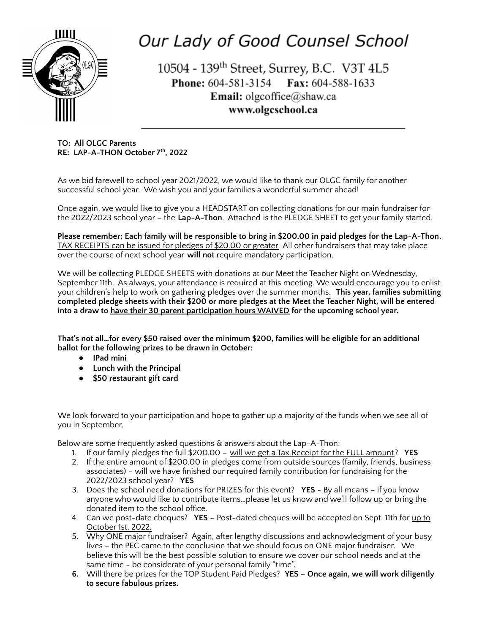

## Our Lady of Good Counsel School

10504 - 139<sup>th</sup> Street, Surrey, B.C. V3T 4L5 Phone: 604-581-3154 Fax: 604-588-1633 **Email:** olgcoffice@shaw.ca www.olgcschool.ca

**TO: All OLGC Parents RE: LAP-A-THON October 7 th , 2022**

As we bid farewell to school year 2021/2022, we would like to thank our OLGC family for another successful school year. We wish you and your families a wonderful summer ahead!

Once again, we would like to give you a HEADSTART on collecting donations for our main fundraiser for the 2022/2023 school year – the **Lap-A-Thon**. Attached is the PLEDGE SHEET to get your family started.

**Please remember: Each family will be responsible to bring in \$200.00 in paid pledges for the Lap-A-Thon**. TAX RECEIPTS can be issued for pledges of \$20.00 or greater. All other fundraisers that may take place over the course of next school year **will not** require mandatory participation.

We will be collecting PLEDGE SHEETS with donations at our Meet the Teacher Night on Wednesday, September 11th. As always, your attendance is required at this meeting. We would encourage you to enlist your children's help to work on gathering pledges over the summer months. **This year, families submitting** completed pledge sheets with their \$200 or more pledges at the Meet the Teacher Night, will be entered **into a draw to have their 30 parent participation hours WAIVED for the upcoming school year.**

**That's not all…for every \$50 raised over the minimum \$200, families will be eligible for an additional ballot for the following prizes to be drawn in October:**

- **● IPad mini**
- **● Lunch with the Principal**
- **● \$50 restaurant gift card**

We look forward to your participation and hope to gather up a majority of the funds when we see all of you in September.

Below are some frequently asked questions & answers about the Lap-A-Thon:

- 1. If our family pledges the full \$200.00 will we get a Tax Receipt for the FULL amount? **YES**
- 2. If the entire amount of \$200.00 in pledges come from outside sources (family, friends, business associates) – will we have finished our required family contribution for fundraising for the 2022/2023 school year? **YES**
- 3. Does the school need donations for PRIZES for this event? **YES** By all means if you know anyone who would like to contribute items…please let us know and we'll follow up or bring the donated item to the school office.
- 4. Can we post-date cheques? **YES** Post-dated cheques will be accepted on Sept. 11th for up to October 1st, 2022.
- 5. Why ONE major fundraiser? Again, after lengthy discussions and acknowledgment of your busy lives – the PEC came to the conclusion that we should focus on ONE major fundraiser. We believe this will be the best possible solution to ensure we cover our school needs and at the same time - be considerate of your personal family "time".
- **6.** Will there be prizes for the TOP Student Paid Pledges? **YES Once again, we will work diligently to secure fabulous prizes.**